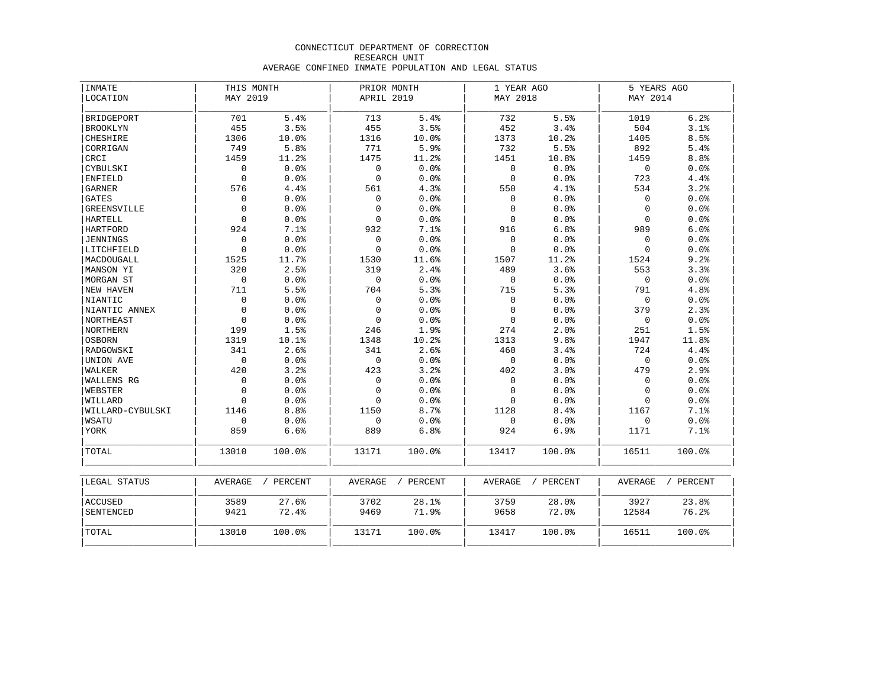### CONNECTICUT DEPARTMENT OF CORRECTION RESEARCH UNIT AVERAGE CONFINED INMATE POPULATION AND LEGAL STATUS

| <b>INMATE</b>      | THIS MONTH          |        | PRIOR MONTH |        | 1 YEAR AGO   |        | 5 YEARS AGO |        |  |
|--------------------|---------------------|--------|-------------|--------|--------------|--------|-------------|--------|--|
| LOCATION           | MAY 2019            |        | APRIL 2019  |        | MAY 2018     |        | MAY 2014    |        |  |
| BRIDGEPORT         | 701                 | 5.4%   | 713         | 5.4%   | 732          | 5.5%   | 1019        | 6.2%   |  |
| <b>BROOKLYN</b>    | 455                 | 3.5%   | 455         | 3.5%   | 452          | 3.4%   | 504         | 3.1%   |  |
| CHESHIRE           | 1306                | 10.0%  | 1316        | 10.0%  | 1373         | 10.2%  | 1405        | 8.5%   |  |
| CORRIGAN           | 749                 | 5.8%   | 771         | 5.9%   | 732          | 5.5%   | 892         | 5.4%   |  |
| CRCI               | 1459                | 11.2%  | 1475        | 11.2%  | 1451         | 10.8%  | 1459        | 8.8%   |  |
| CYBULSKI           | $\mathsf{O}\xspace$ | 0.0%   | $\mathbf 0$ | 0.0%   | $\mathbf 0$  | 0.0%   | $\mathbf 0$ | 0.0%   |  |
| <b>ENFIELD</b>     | $\mathbf 0$         | 0.0%   | $\mathbf 0$ | 0.0%   | $\mathbf{0}$ | 0.0%   | 723         | 4.4%   |  |
| <b>GARNER</b>      | 576                 | 4.4%   | 561         | 4.3%   | 550          | 4.1%   | 534         | 3.2%   |  |
| <b>GATES</b>       | $\mathbf 0$         | 0.0%   | $\Omega$    | 0.0%   | $\Omega$     | 0.0%   | $\Omega$    | 0.0%   |  |
| <b>GREENSVILLE</b> | $\mathsf 0$         | 0.0%   | $\mathbf 0$ | 0.0%   | $\Omega$     | 0.0%   | $\Omega$    | 0.0%   |  |
| <b>HARTELL</b>     | $\mathbf 0$         | 0.0%   | $\Omega$    | 0.0%   | $\Omega$     | 0.0%   | $\Omega$    | 0.0%   |  |
| <b>HARTFORD</b>    | 924                 | 7.1%   | 932         | 7.1%   | 916          | 6.8%   | 989         | 6.0%   |  |
| JENNINGS           | $\mathsf{O}\xspace$ | 0.0%   | $\mathbf 0$ | 0.0%   | $\mathbf 0$  | 0.0%   | $\Omega$    | 0.0%   |  |
| LITCHFIELD         | $\mathbf 0$         | 0.0%   | $\Omega$    | 0.0%   | $\Omega$     | 0.0%   | $\Omega$    | 0.0%   |  |
| MACDOUGALL         | 1525                | 11.7%  | 1530        | 11.6%  | 1507         | 11.2%  | 1524        | 9.2%   |  |
| MANSON YI          | 320                 | 2.5%   | 319         | 2.4%   | 489          | 3.6%   | 553         | 3.3%   |  |
| MORGAN ST          | $\mathsf 0$         | 0.0%   | $\mathbf 0$ | 0.0%   | $\mathsf 0$  | 0.0%   | $\mathbf 0$ | 0.0%   |  |
| NEW HAVEN          | 711                 | 5.5%   | 704         | 5.3%   | 715          | 5.3%   | 791         | 4.8%   |  |
| NIANTIC            | $\mathbf 0$         | 0.0%   | $\mathbf 0$ | 0.0%   | $\mathbf 0$  | 0.0%   | $\mathbf 0$ | 0.0%   |  |
| NIANTIC ANNEX      | $\mathbf{0}$        | 0.0%   | $\Omega$    | 0.0%   | $\Omega$     | 0.0%   | 379         | 2.3%   |  |
| <b>NORTHEAST</b>   | $\Omega$            | 0.0%   | $\Omega$    | 0.0%   | $\Omega$     | 0.0%   | $\mathbf 0$ | 0.0%   |  |
| <b>NORTHERN</b>    | 199                 | 1.5%   | 246         | 1.9%   | 274          | 2.0%   | 251         | 1.5%   |  |
| <b>OSBORN</b>      | 1319                | 10.1%  | 1348        | 10.2%  | 1313         | 9.8%   | 1947        | 11.8%  |  |
| RADGOWSKI          | 341                 | 2.6%   | 341         | 2.6%   | 460          | 3.4%   | 724         | 4.4%   |  |
| UNION AVE          | $\mathbf 0$         | 0.0%   | $\Omega$    | 0.0%   | $\mathbf 0$  | 0.0%   | $\Omega$    | 0.0%   |  |
| WALKER             | 420                 | 3.2%   | 423         | 3.2%   | 402          | 3.0%   | 479         | 2.9%   |  |
| WALLENS RG         | $\mathsf 0$         | 0.0%   | $\mathbf 0$ | 0.0%   | $\mathbf 0$  | 0.0%   | $\Omega$    | 0.0%   |  |
| WEBSTER            | $\mathsf 0$         | 0.0%   | $\mathbf 0$ | 0.0%   | $\mathbf 0$  | 0.0%   | $\Omega$    | 0.0%   |  |
| WILLARD            | $\Omega$            | 0.0%   | $\Omega$    | 0.0%   | $\mathbf 0$  | 0.0%   | $\Omega$    | 0.0%   |  |
| WILLARD-CYBULSKI   | 1146                | 8.8%   | 1150        | 8.7%   | 1128         | 8.4%   | 1167        | 7.1%   |  |
| WSATU              | $\Omega$            | 0.0%   | $\Omega$    | 0.0%   | $\Omega$     | 0.0%   | $\Omega$    | 0.0%   |  |
| YORK               | 859                 | 6.6%   | 889         | 6.8%   | 924          | 6.9%   | 1171        | 7.1%   |  |
| TOTAL              | 13010               | 100.0% | 13171       | 100.0% | 13417        | 100.0% | 16511       | 100.0% |  |

| LEGAL STATUS | AVERAGE | PERCENT | AVERAGE | PERCENT | AVERAGE | PERCENT | AVERAGE | PERCENT |
|--------------|---------|---------|---------|---------|---------|---------|---------|---------|
| ACCUSED      | 3589    | 27.6%   | 3702    | 28.1%   | 3759    | 28.0%   | 3927    | 23.8%   |
| SENTENCED    | 9421    | 72.4%   | 9469    | 71.9%   | 9658    | 72.0%   | 12584   | 76.2%   |
| TOTAL        | 13010   | 100.0%  | 13171   | 100.0%  | 13417   | 100.0%  | 16511   | 100.0%  |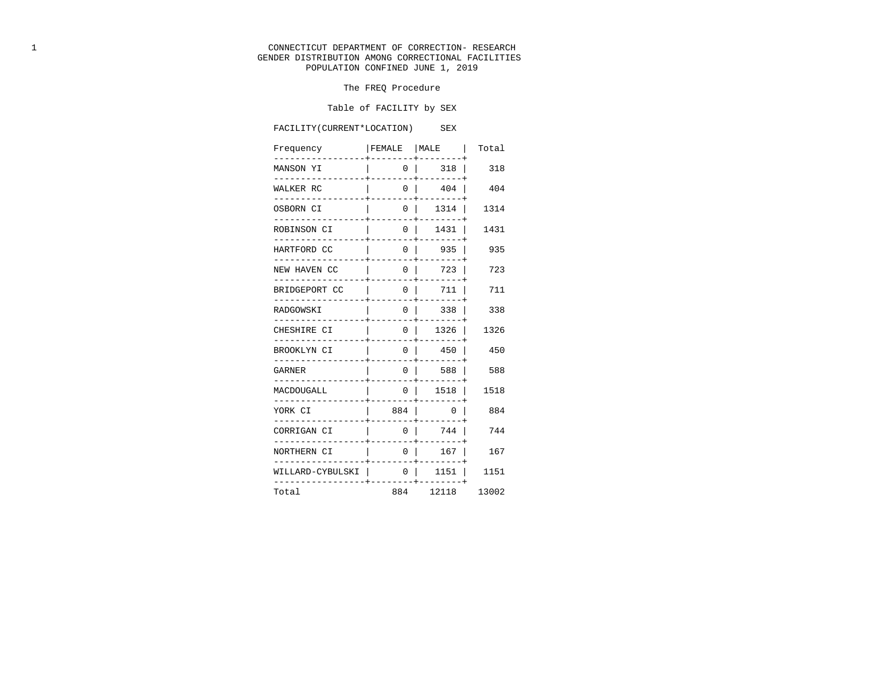#### 1 CONNECTICUT DEPARTMENT OF CORRECTION- RESEARCH GENDER DISTRIBUTION AMONG CORRECTIONAL FACILITIES POPULATION CONFINED JUNE 1, 2019

#### The FREQ Procedure

#### Table of FACILITY by SEX

FACILITY(CURRENT\*LOCATION) SEX

### Frequency | FEMALE | MALE | Total -----------------+--------+--------+ MANSON YI | 0 | 318 | 318 -----------------+--------+--------+ WALKER RC | 0 | 404 | 404 -----------------+--------+--------+ OSBORN CI | 0 | 1314 | 1314 -----------------+--------+--------+ ROBINSON CI | 0 | 1431 | 1431 -----------------+--------+--------+ HARTFORD CC | 0 | 935 | 935 -----------------+--------+--------+ NEW HAVEN CC | 0 | 723 | 723 -----------------+--------+--------+ BRIDGEPORT CC | 0 | 711 | 711 -----------------+--------+--------+ RADGOWSKI | 0 | 338 | 338 -----------------+--------+--------+ CHESHIRE CI | 0 | 1326 | 1326 -----------------+--------+--------+ BROOKLYN CI | 0 | 450 | 450 -----------------+--------+--------+ GARNER | 0 | 588 | 588 -----------------+--------+--------+ MACDOUGALL | 0 | 1518 | 1518 -----------------+--------+--------+ YORK CI | 884 | 0 | 884 -----------------+--------+--------+ CORRIGAN CI | 0 | 744 | 744 -----------------+--------+--------+ NORTHERN CI | 0 | 167 | 167 -----------------+--------+--------+ WILLARD-CYBULSKI | 0 | 1151 | 1151 -----------------+--------+--------+ Total 884 12118 13002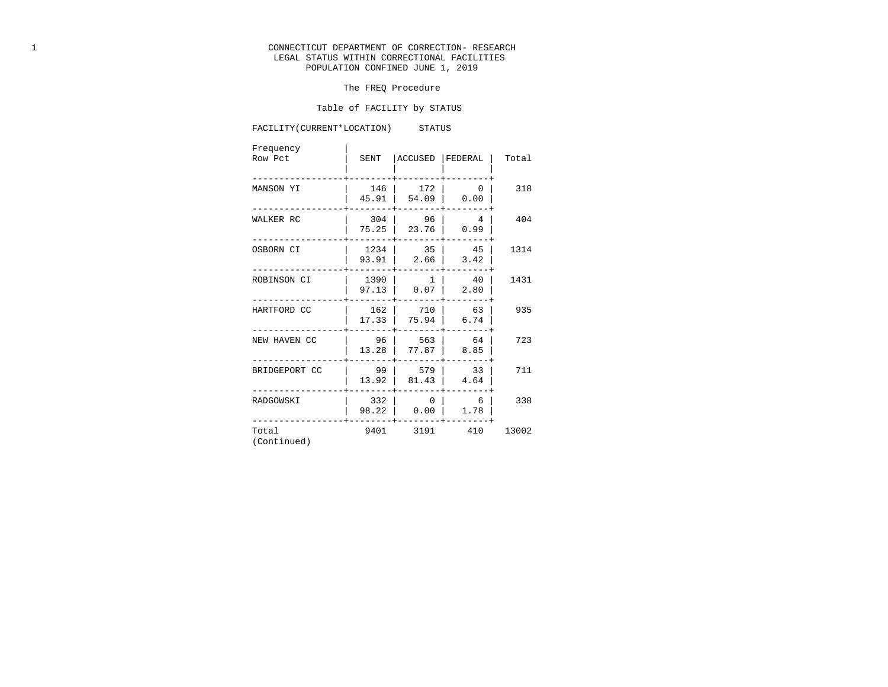# 1 CONNECTICUT DEPARTMENT OF CORRECTION- RESEARCH LEGAL STATUS WITHIN CORRECTIONAL FACILITIES POPULATION CONFINED JUNE 1, 2019

### The FREQ Procedure

### Table of FACILITY by STATUS

# FACILITY(CURRENT\*LOCATION) STATUS

| Frequency<br>Row Pct | SENT            | ACCUSED                | FEDERAL                | Total |
|----------------------|-----------------|------------------------|------------------------|-------|
| MANSON YI            | 146<br>45.91    | 172<br>54.09           | $\overline{0}$<br>0.00 | 318   |
| WALKER RC            | 304<br>75.25    | 96<br>23.76            | $\overline{4}$<br>0.99 | 404   |
| OSBORN CI            | 1234  <br>93.91 | 35<br>2.66             | 45<br>3.42             | 1314  |
| ROBINSON CI          | 1390<br>97.13   | 1<br>0.07              | 40<br>2.80             | 1431  |
| HARTFORD CC          | 162<br>17.33    | 710<br>75.94           | 63<br>6.74             | 935   |
| NEW HAVEN CC         | 96<br>13.28     | 563<br>77.87           | 64<br>8.85             | 723   |
| BRIDGEPORT CC        | 99<br>13.92     | 579<br>81.43           | 33<br>4.64             | 711   |
| RADGOWSKI            | 332<br>98.22    | $\overline{0}$<br>0.00 | 6<br>1.78              | 338   |
| Total<br>(Continued) | 9401            | 3191                   | 410                    | 13002 |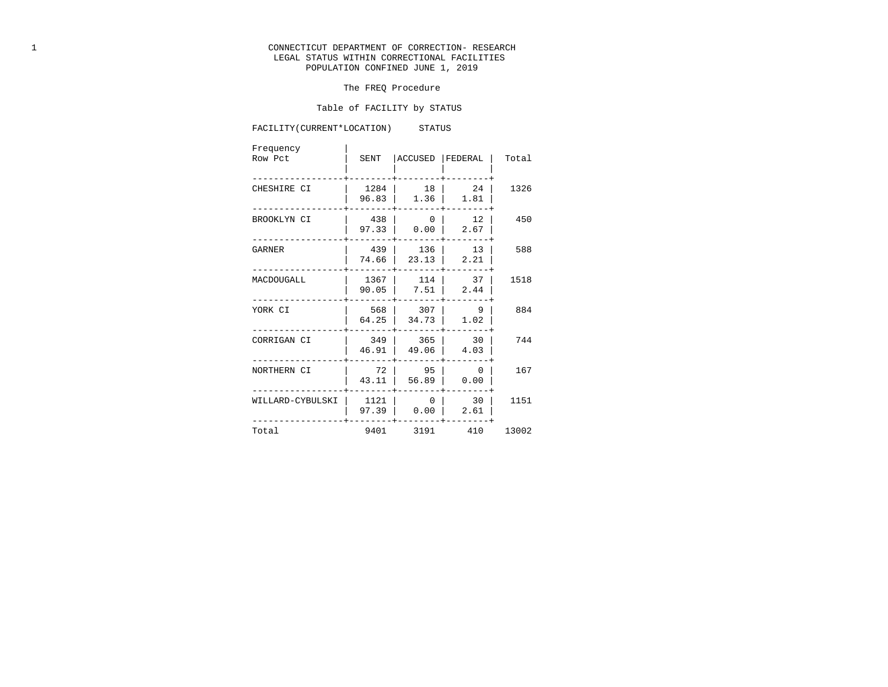# 1 CONNECTICUT DEPARTMENT OF CORRECTION- RESEARCH LEGAL STATUS WITHIN CORRECTIONAL FACILITIES POPULATION CONFINED JUNE 1, 2019

### The FREQ Procedure

### Table of FACILITY by STATUS

# FACILITY(CURRENT\*LOCATION) STATUS

| Frequency<br>Row Pct | SENT                              | ACCUSED                | FEDERAL                          | Total |
|----------------------|-----------------------------------|------------------------|----------------------------------|-------|
| CHESHIRE CI          | 1284<br>96.83                     | 18<br>1.36             | 24<br>1.81                       | 1326  |
| BROOKLYN CI          | 438<br>97.33                      | $\overline{0}$<br>0.00 | 12<br>2.67                       | 450   |
| GARNER               | 439<br>74.66                      | 136<br>23.13           | 13<br>2.21                       | 588   |
| MACDOUGALL           | 1367<br>90.05                     | 114<br>7.51            | 37<br>2.44                       | 1518  |
| YORK CI              | 568<br>64.25                      | 307<br>34.73           | $\overline{9}$<br>1.02           | 884   |
| CORRIGAN CI          | 349<br>46.91                      | 365<br>49.06           | 30<br>4.03                       | 744   |
| NORTHERN CI          | 72<br>43.11                       | 95<br>56.89            | $\overline{\phantom{0}}$<br>0.00 | 167   |
|                      | WILLARD-CYBULSKI<br>1121<br>97.39 | $\overline{0}$<br>0.00 | 30<br>2.61                       | 1151  |
| Total                | 9401                              |                        | 3191 410                         | 13002 |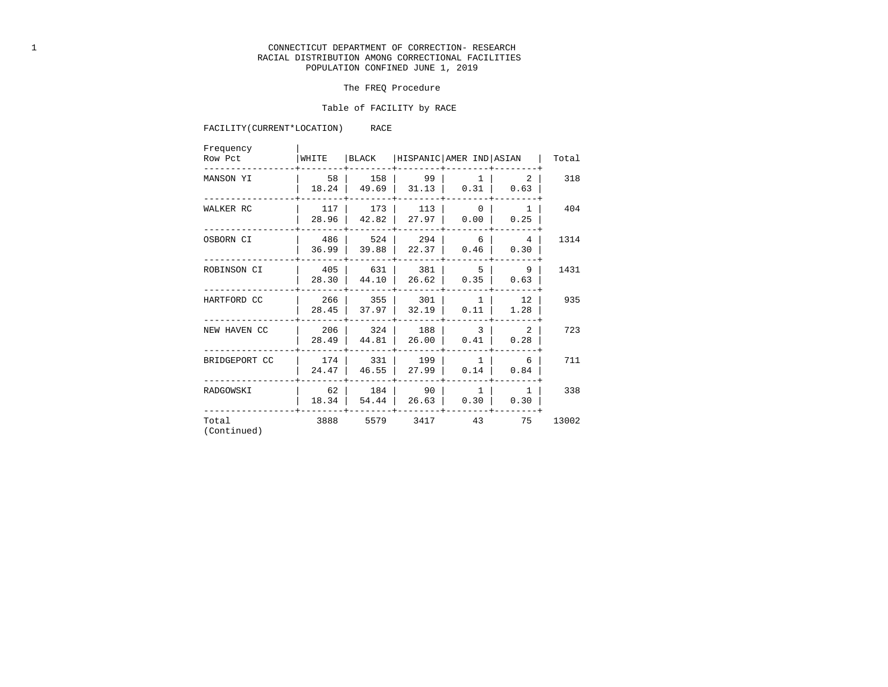### 1 CONNECTICUT DEPARTMENT OF CORRECTION- RESEARCH RACIAL DISTRIBUTION AMONG CORRECTIONAL FACILITIES POPULATION CONFINED JUNE 1, 2019

### The FREQ Procedure

### Table of FACILITY by RACE

### FACILITY(CURRENT\*LOCATION) RACE

| Frequency<br>Row Pct | WHITE        | BLACK        | HISPANIC AMER IND ASIAN |                                  |                        | Total |
|----------------------|--------------|--------------|-------------------------|----------------------------------|------------------------|-------|
| MANSON YI            | 58<br>18.24  | 158<br>49.69 | 99<br>31.13             | 1<br>0.31                        | 2<br>0.63              | 318   |
| WALKER RC            | 117<br>28.96 | 173<br>42.82 | 113<br>27.97            | $\overline{0}$<br>0.00           | 1<br>0.25              | 404   |
| OSBORN CI            | 486<br>36.99 | 524<br>39.88 | 294<br>22.37            | 6<br>0.46                        | $\overline{4}$<br>0.30 | 1314  |
| ROBINSON CI          | 405<br>28.30 | 631<br>44.10 | 381<br>26.62            | $-5$<br>0.35                     | 9<br>0.63              | 1431  |
| HARTFORD CC          | 266<br>28.45 | 355<br>37.97 | 301<br>32.19            | 1<br>0.11                        | 12<br>1.28             | 935   |
| NEW HAVEN CC         | 206<br>28.49 | 324<br>44.81 | 188<br>26.00            | $\overline{\phantom{a}}$<br>0.41 | 2<br>0.28              | 723   |
| BRIDGEPORT CC        | 174<br>24.47 | 331<br>46.55 | 199<br>27.99            | 1<br>0.14                        | 6<br>0.84              | 711   |
| RADGOWSKI            | 62<br>18.34  | 184<br>54.44 | 90<br>26.63             | 1<br>0.30                        | 1<br>0.30              | 338   |
| Total<br>(Continued) | 3888         | 5579         | 3417                    | 43                               | 75                     | 13002 |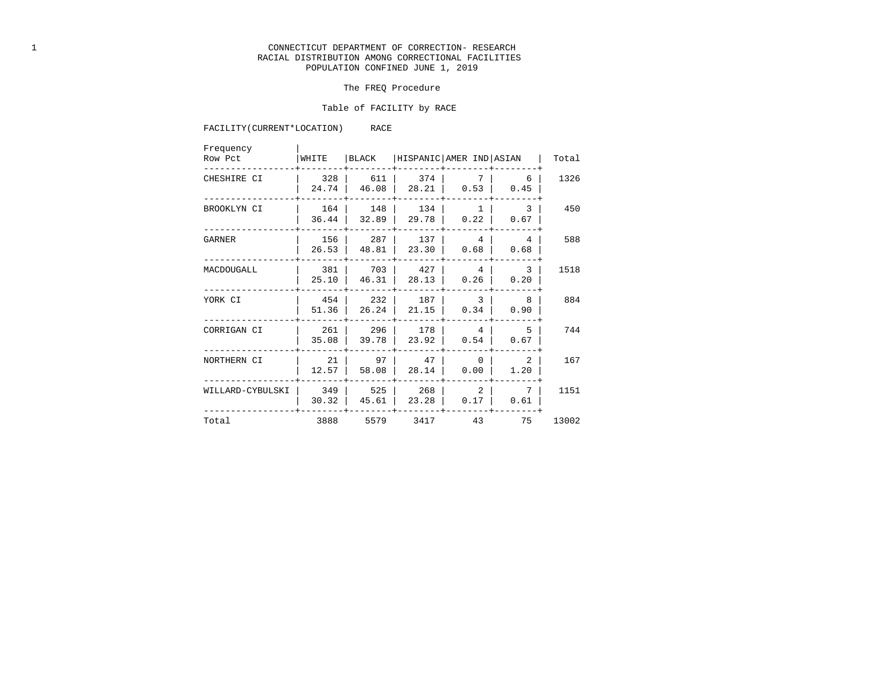### 1 CONNECTICUT DEPARTMENT OF CORRECTION- RESEARCH RACIAL DISTRIBUTION AMONG CORRECTIONAL FACILITIES POPULATION CONFINED JUNE 1, 2019

### The FREQ Procedure

### Table of FACILITY by RACE

### FACILITY(CURRENT\*LOCATION) RACE

| Frequency<br>Row Pct | WHITE        | BLACK        | HISPANIC AMER IND ASIAN |                      |           | Total |
|----------------------|--------------|--------------|-------------------------|----------------------|-----------|-------|
| CHESHIRE CI          | 328<br>24.74 | 611<br>46.08 | 374<br>28.21            | 7<br>0.53            | 6<br>0.45 | 1326  |
| BROOKLYN CI          | 164<br>36.44 | 148<br>32.89 | 134<br>29.78            | $\mathbf{1}$<br>0.22 | 3<br>0.67 | 450   |
| GARNER               | 156<br>26.53 | 287<br>48.81 | 137<br>23.30            | 4<br>0.68            | 4<br>0.68 | 588   |
| MACDOUGALL           | 381<br>25.10 | 703<br>46.31 | 427<br>28.13            | 4<br>0.26            | 3<br>0.20 | 1518  |
| YORK CI              | 454<br>51.36 | 232<br>26.24 | 187<br>21.15            | 3<br>0.34            | 8<br>0.90 | 884   |
| CORRIGAN CI          | 261<br>35.08 | 296<br>39.78 | 178<br>23.92            | 4<br>0.54            | 5<br>0.67 | 744   |
| NORTHERN CI          | 21<br>12.57  | 97<br>58.08  | 47<br>28.14             | $\Omega$<br>0.00     | 2<br>1.20 | 167   |
| WILLARD-CYBULSKI     | 349<br>30.32 | 525<br>45.61 | 268<br>23.28            | 2<br>0.17            | 0.61      | 1151  |
| Total                | 3888         | 5579         | 3417                    | 43                   | 75        | 13002 |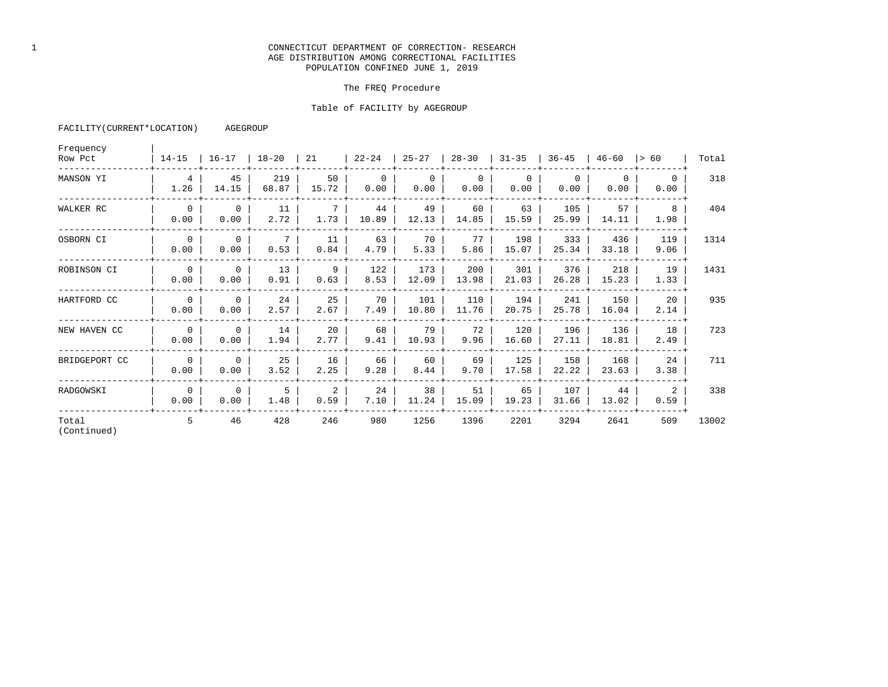# 1 CONNECTICUT DEPARTMENT OF CORRECTION- RESEARCH AGE DISTRIBUTION AMONG CORRECTIONAL FACILITIES POPULATION CONFINED JUNE 1, 2019

### The FREQ Procedure

### Table of FACILITY by AGEGROUP

| FACILITY (CURRENT*LOCATION) | AGEGROUP |
|-----------------------------|----------|
|-----------------------------|----------|

| Frequency<br>Row Pct | $14 - 15$               | $16 - 17$            | $18 - 20$    | 21                     | $22 - 24$        | $25 - 27$        | $28 - 30$        | $31 - 35$        | $36 - 45$        | $46 - 60$        | l> 60            | Total |
|----------------------|-------------------------|----------------------|--------------|------------------------|------------------|------------------|------------------|------------------|------------------|------------------|------------------|-------|
| MANSON YI            | $4\overline{ }$<br>1.26 | 45<br>14.15          | 219<br>68.87 | 50<br>15.72            | $\Omega$<br>0.00 | $\Omega$<br>0.00 | $\Omega$<br>0.00 | $\Omega$<br>0.00 | $\Omega$<br>0.00 | $\Omega$<br>0.00 | $\Omega$<br>0.00 | 318   |
| WALKER RC            | $\Omega$<br>0.00        | $\mathbf{0}$<br>0.00 | 11<br>2.72   | $7^{\circ}$<br>1.73    | 44<br>10.89      | 49<br>12.13      | 60<br>14.85      | 63<br>15.59      | 105<br>25.99     | 57<br>14.11      | 8<br>1.98        | 404   |
| OSBORN CI            | $\Omega$<br>0.00        | $\mathbf{0}$<br>0.00 | 7<br>0.53    | 11<br>0.84             | 63<br>4.79       | 70<br>5.33       | 77<br>5.86       | 198<br>15.07     | 333<br>25.34     | 436<br>33.18     | 119<br>9.06      | 1314  |
| ROBINSON CI          | $\Omega$<br>0.00        | $\Omega$<br>0.00     | 13<br>0.91   | 9<br>0.63              | 122<br>8.53      | 173<br>12.09     | 200<br>13.98     | 301<br>21.03     | 376<br>26.28     | 218<br>15.23     | 19<br>1.33       | 1431  |
| HARTFORD CC          | $\Omega$<br>0.00        | $\mathbf 0$<br>0.00  | 24<br>2.57   | 25<br>2.67             | 70<br>7.49       | 101<br>10.80     | 110<br>11.76     | 194<br>20.75     | 241<br>25.78     | 150<br>16.04     | 20<br>2.14       | 935   |
| NEW HAVEN CC         | $\Omega$<br>0.00        | $\Omega$<br>0.00     | 14<br>1.94   | 20<br>2.77             | 68<br>9.41       | 79<br>10.93      | 72<br>9.96       | 120<br>16.60     | 196<br>27.11     | 136<br>18.81     | 18<br>2.49       | 723   |
| BRIDGEPORT CC        | $\Omega$<br>0.00        | $\Omega$<br>0.00     | 25<br>3.52   | 16<br>2.25             | 66<br>9.28       | 60<br>8.44       | 69<br>9.70       | 125<br>17.58     | 158<br>22.22     | 168<br>23.63     | 24<br>3.38       | 711   |
| RADGOWSKI            | $\Omega$<br>0.00        | $\Omega$<br>0.00     | 5<br>1.48    | $\overline{a}$<br>0.59 | 24<br>7.10       | 38<br>11.24      | 51<br>15.09      | 65<br>19.23      | 107<br>31.66     | 44<br>13.02      | 2<br>0.59        | 338   |
| Total<br>(Continued) | 5                       | 46                   | 428          | 246                    | 980              | 1256             | 1396             | 2201             | 3294             | 2641             | 509              | 13002 |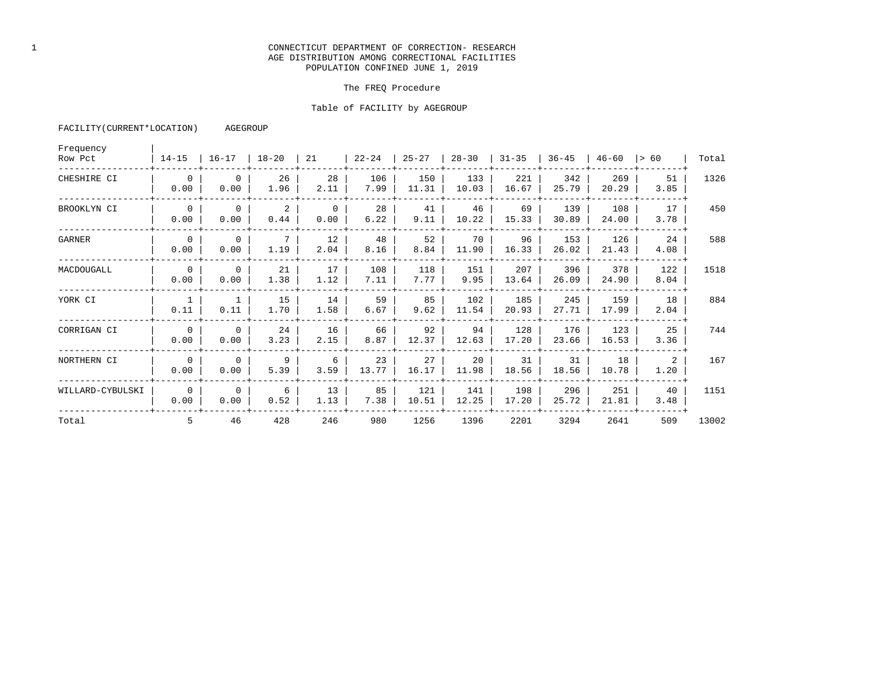### 1 CONNECTICUT DEPARTMENT OF CORRECTION- RESEARCH AGE DISTRIBUTION AMONG CORRECTIONAL FACILITIES POPULATION CONFINED JUNE 1, 2019

### The FREQ Procedure

### Table of FACILITY by AGEGROUP

| Frequency<br>Row Pct | $14 - 15$              | $16 - 17$            | $18-20$ 21 |                  | $ 22 - 24 $ | $25 - 27$    | $28 - 30$    | $31 - 35$    | $36 - 45$    | 46-60        | $\vert$ > 60 | Total |
|----------------------|------------------------|----------------------|------------|------------------|-------------|--------------|--------------|--------------|--------------|--------------|--------------|-------|
| CHESHIRE CI          | $\overline{0}$<br>0.00 | $\Omega$<br>0.00     | 26<br>1.96 | 28<br>2.11       | 106<br>7.99 | 150<br>11.31 | 133<br>10.03 | 221<br>16.67 | 342<br>25.79 | 269<br>20.29 | 51<br>3.85   | 1326  |
| BROOKLYN CI          | $\Omega$<br>0.00       | $\Omega$<br>0.00     | 2<br>0.44  | $\Omega$<br>0.00 | 28<br>6.22  | 41<br>9.11   | 46<br>10.22  | 69<br>15.33  | 139<br>30.89 | 108<br>24.00 | 17<br>3.78   | 450   |
| GARNER               | $\Omega$<br>0.00       | $\mathbf{0}$<br>0.00 | 7<br>1.19  | 12<br>2.04       | 48<br>8.16  | 52<br>8.84   | 70<br>11.90  | 96<br>16.33  | 153<br>26.02 | 126<br>21.43 | 24<br>4.08   | 588   |
| MACDOUGALL           | $\overline{0}$<br>0.00 | $\Omega$<br>0.00     | 21<br>1.38 | 17<br>1.12       | 108<br>7.11 | 118<br>7.77  | 151<br>9.95  | 207<br>13.64 | 396<br>26.09 | 378<br>24.90 | 122<br>8.04  | 1518  |
| YORK CI              | 0.11                   | 1<br>0.11            | 15<br>1.70 | 14<br>1.58       | 59<br>6.67  | 85<br>9.62   | 102<br>11.54 | 185<br>20.93 | 245<br>27.71 | 159<br>17.99 | 18<br>2.04   | 884   |
| CORRIGAN CI          | $\Omega$<br>0.00       | $\Omega$<br>0.00     | 24<br>3.23 | 16<br>2.15       | 66<br>8.87  | 92<br>12.37  | 94<br>12.63  | 128<br>17.20 | 176<br>23.66 | 123<br>16.53 | 25<br>3.36   | 744   |
| NORTHERN CI          | $\Omega$<br>0.00       | $\Omega$<br>0.00     | 9<br>5.39  | 6<br>3.59        | 23<br>13.77 | 27<br>16.17  | 20<br>11.98  | 31<br>18.56  | 31<br>18.56  | 18<br>10.78  | 2<br>1.20    | 167   |
| WILLARD-CYBULSKI     | $\Omega$<br>0.00       | $\Omega$<br>0.00     | 6<br>0.52  | 13<br>1.13       | 85<br>7.38  | 121<br>10.51 | 141<br>12.25 | 198<br>17.20 | 296<br>25.72 | 251<br>21.81 | 40<br>3.48   | 1151  |
| Total                | .5                     | 46                   | 428        | 246              | 980         | 1256         | 1396         | 2201         | 3294         | 2641         | 509          | 13002 |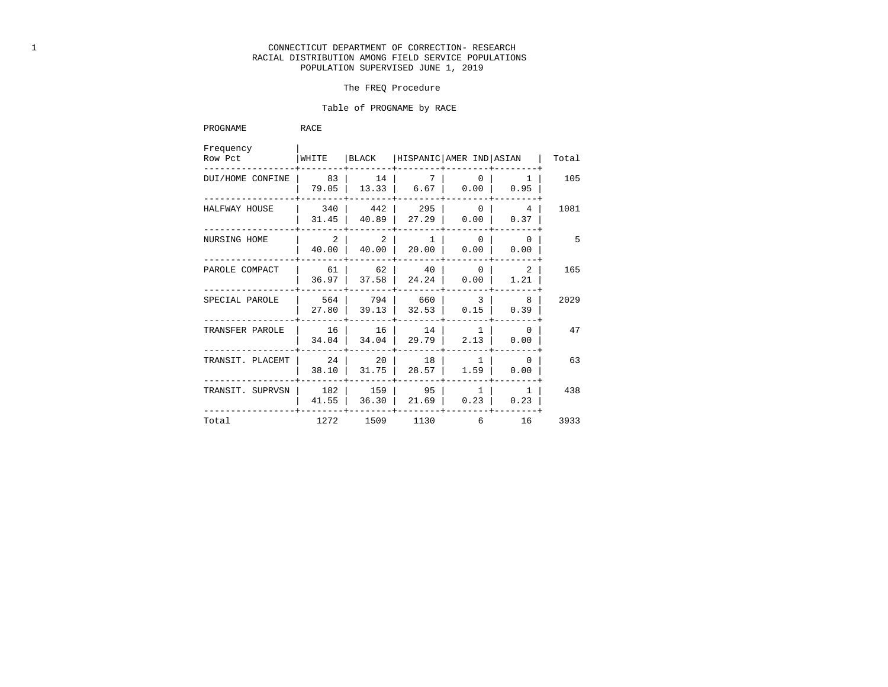# 1 CONNECTICUT DEPARTMENT OF CORRECTION- RESEARCH RACIAL DISTRIBUTION AMONG FIELD SERVICE POPULATIONS POPULATION SUPERVISED JUNE 1, 2019

### The FREQ Procedure

### Table of PROGNAME by RACE

| PROGNAME             | RACE         |                                           |                         |                        |                         |       |
|----------------------|--------------|-------------------------------------------|-------------------------|------------------------|-------------------------|-------|
| Frequency<br>Row Pct | WHITE        | BLACK                                     | HISPANIC AMER IND ASIAN |                        |                         | Total |
| DUI/HOME CONFINE     | 83<br>79.05  | 14<br>13.33                               | 7<br>6.67               | $\Omega$<br>0.00       | ı<br>0.95               | 105   |
| HALFWAY HOUSE        | 340<br>31.45 | 442<br>40.89                              | 295<br>27.29            | $\Omega$<br>0.00       | $4\overline{ }$<br>0.37 | 1081  |
| NURSING HOME         | 40.00        | $\overline{2}$<br>$\overline{2}$<br>40.00 | 1<br>20.00              | $\overline{0}$<br>0.00 | $\Omega$<br>0.00        | 5     |
| PAROLE COMPACT       | 36.97        | 62<br>61<br>37.58                         | 40<br>24.24             | $\Omega$<br>0.00       | 2<br>1.21               | 165   |
| SPECIAL PAROLE       | 27.80        | 564<br>794<br>39.13                       | 660<br>32.53            | 3<br>0.15              | 8<br>0.39               | 2029  |
| TRANSFER PAROLE      | 16<br>34.04  | 16<br>34.04                               | 14<br>29.79             | 1<br>2.13              | $\mathbf{0}$<br>0.00    | 47    |
| TRANSIT. PLACEMT     | 38.10        | 20<br>24<br>31.75                         | 18<br>28.57             | 1.59                   | $\overline{0}$<br>0.00  | 63    |
| TRANSIT. SUPRVSN     | 41.55        | 182<br>159<br>36.30                       | 95<br>21.69             | $\overline{1}$<br>0.23 | $\overline{1}$<br>0.23  | 438   |
| Total                |              | 1272<br>1509                              | 1130                    | 6                      | 16                      | 3933  |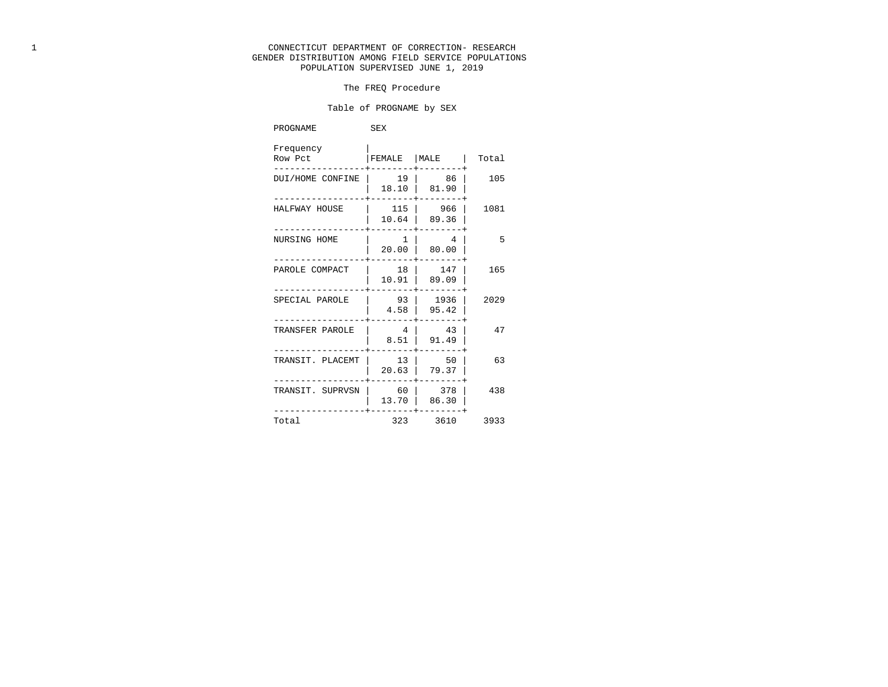# 1 CONNECTICUT DEPARTMENT OF CORRECTION- RESEARCH GENDER DISTRIBUTION AMONG FIELD SERVICE POPULATIONS POPULATION SUPERVISED JUNE 1, 2019

### The FREQ Procedure

### Table of PROGNAME by SEX

| PROGNAME             | SEX                    |                  |       |
|----------------------|------------------------|------------------|-------|
| Frequency<br>Row Pct | FEMALE                 | MALE             | Total |
| DUI/HOME CONFINE     | 19<br>18.10            | 86<br>81.90      | 105   |
| HALFWAY HOUSE        | 115<br>10.64           | 966<br>89.36     | 1081  |
| NURSING HOME         | 1<br>20.00             | 4<br>80.00       | $-5$  |
| PAROLE COMPACT       | 18<br>10.91            | 147<br>89.09     | 165   |
| SPECIAL PAROLE       | 93<br>4.58             | 1936<br>95.42    | 2029  |
| TRANSFER PAROLE      | $\overline{4}$<br>8.51 | 43<br>91.49      | 47    |
| TRANSIT. PLACEMT     | 13<br>20.63            | 50<br>79.37      | 63    |
| TRANSIT. SUPRVSN     | 60<br>13.70            | 378<br>86.30     | 438   |
| Total                | 323                    | $-- - +$<br>3610 | 3933  |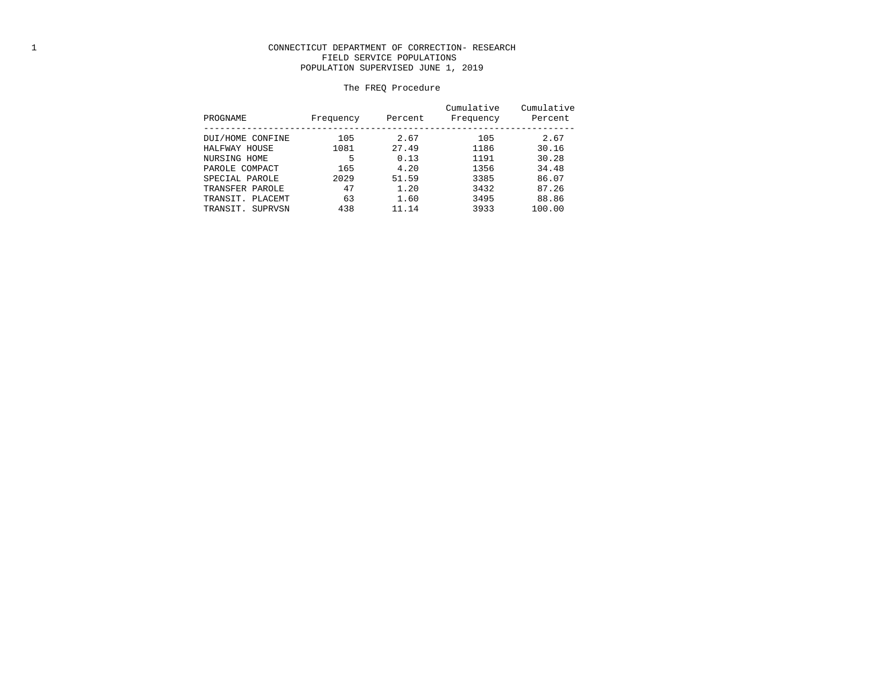# 1 CONNECTICUT DEPARTMENT OF CORRECTION- RESEARCH FIELD SERVICE POPULATIONS POPULATION SUPERVISED JUNE 1, 2019

# The FREQ Procedure

| PROGNAME            | Frequency | Percent | Cumulative<br>Frequency | Cumulative<br>Percent |
|---------------------|-----------|---------|-------------------------|-----------------------|
| DUI/HOME CONFINE    | 105       | 2.67    | 105                     | 2.67                  |
| HALFWAY HOUSE       | 1081      | 27.49   | 1186                    | 30.16                 |
| NURSING HOME        | 5         | 0.13    | 1191                    | 30.28                 |
| PAROLE COMPACT      | 165       | 4.20    | 1356                    | 34.48                 |
| SPECIAL PAROLE      | 2029      | 51.59   | 3385                    | 86.07                 |
| TRANSFER PAROLE     | 47        | 1.20    | 3432                    | 87.26                 |
| TRANSIT. PLACEMT    | 63        | 1.60    | 3495                    | 88.86                 |
| TRANSIT.<br>SUPRVSN | 438       | 11.14   | 3933                    | 100.00                |